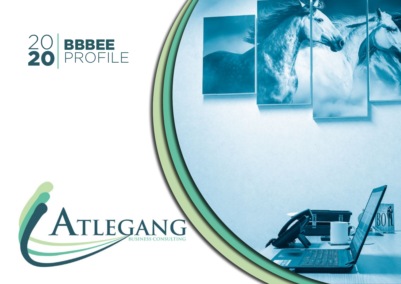

# ATLEGANG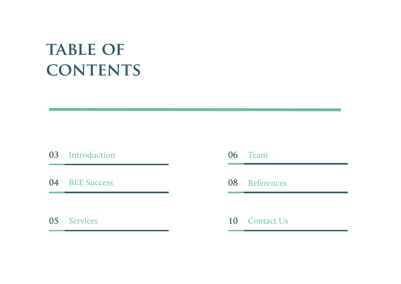## **TABLE OF contents**

#### Introduction

BEE Success

Services

#### Team

#### References

#### Contact Us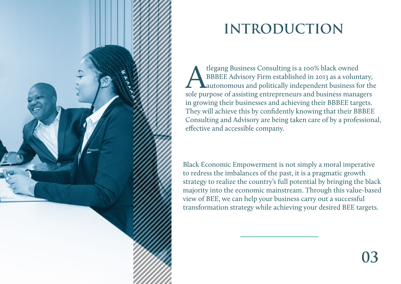

## **INTRODUCTION**

tlegang Business Consulting is a 100% black owned<br>BBBEE Advisory Firm established in 2013 as a volunt<br>autonomous and politically independent business fished BBBEE Advisory Firm established in 2013 as a voluntary, autonomous and politically independent business for the sole purpose of assisting entrepreneurs and business managers in growing their businesses and achieving their BBBEE targets. They will achieve this by confidently knowing that their BBBEE Consulting and Advisory are being taken care of by a professional, effective and accessible company.

Black Economic Empowerment is not simply a moral imperative to redress the imbalances of the past, it is a pragmatic growth strategy to realize the country's full potential by bringing the black majority into the economic mainstream. Through this value-based view of BEE, we can help your business carry out a successful transformation strategy while achieving your desired BEE targets.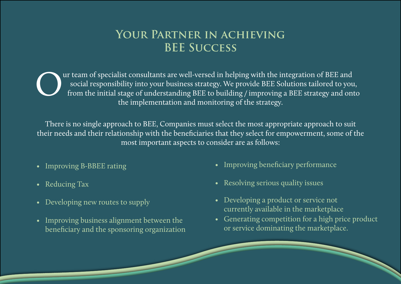#### **Your Partner in achieving BEE Success**

The implementation and monitoring of the strategy and on the initial stage of understanding BEE to building / improving a BEE strategy and on the initial stage of understanding BEE to building / improving a BEE strategy an social responsibility into your business strategy. We provide BEE Solutions tailored to you, from the initial stage of understanding BEE to building / improving a BEE strategy and onto the implementation and monitoring of the strategy.

There is no single approach to BEE, Companies must select the most appropriate approach to suit their needs and their relationship with the beneficiaries that they select for empowerment, some of the most important aspects to consider are as follows:

- 
- 
- Developing new routes to supply
- Improving business alignment between the beneficiary and the sponsoring organization
- Improving B-BBEE rating **•** Improving beneficiary performance
- Reducing Tax  **Resolving serious quality issues** 
	- Developing a product or service not currently available in the marketplace
	- Generating competition for a high price product or service dominating the marketplace.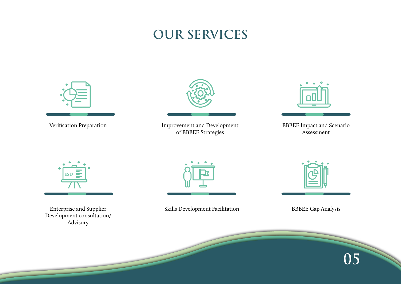## **OUR SERVICES**





Development consultation/ Advisory



Enterprise and Supplier **Skills Development Facilitation** 



BBBEE Gap Analysis

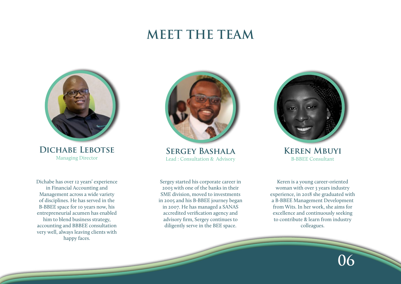### **MEET THE TEAM**



**DICHABE LEBOTSE SERGEY BASHALA KEREN MBUYI**<br>Managing Director Lead : Consultation & Advisory **B-BBEE Consultant** 

Dichabe has over 12 years' experience in Financial Accounting and Management across a wide variety of disciplines. He has served in the B-BBEE space for 10 years now, his entrepreneurial acumen has enabled him to blend business strategy, accounting and BBBEE consultation very well, always leaving clients with happy faces.



Lead : Consultation & Advisory

Sergey started his corporate career in 2003 with one of the banks in their SME division, moved to investments in 2005 and his B-BBEE journey began in 2007. He has managed a SANAS accredited verification agency and advisory firm, Sergey continues to diligently serve in the BEE space.



Keren is a young career-oriented woman with over 3 years industry experience, in 2018 she graduated with a B-BBEE Management Development from Wits. In her work, she aims for excellence and continuously seeking to contribute & learn from industry colleagues.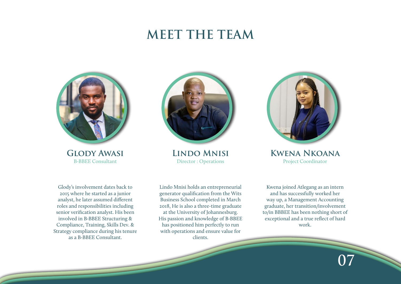### **MEET THE TEAM**



Glody's involvement dates back to 2015 where he started as a junior analyst, he later assumed different roles and responsibilities including senior verification analyst. His been involved in B-BBEE Structuring & Compliance, Training, Skills Dev. & Strategy compliance during his tenure as a B-BBEE Consultant.



Director : Operations

Lindo Mnisi holds an entrepreneurial generator qualification from the Wits Business School completed in March 2018, He is also a three-time graduate at the University of Johannesburg. His passion and knowledge of B-BBEE has positioned him perfectly to run with operations and ensure value for clients.



**GLODY AWASI LINDO MNISI KWENA NKOANA**<br>
Director : Operations Project Coordinator

Kwena joined Atlegang as an intern and has successfully worked her way up, a Management Accounting graduate, her transition/involvement to/in BBBEE has been nothing short of exceptional and a true reflect of hard work.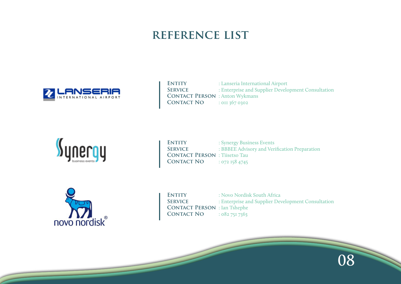#### **reference list**



**ENTITY** : Lanseria International Airport<br> **SERVICE** : Enterprise and Supplier Develo **Service** : Enterprise and Supplier Development Consultation **CONTACT PERSON** : Anton Wykmans **CONTACT NO** : 0II 367 0302



**ENTITY** : Synergy Business Events<br> **SERVICE** : BBBEE Advisory and Veri : BBBEE Advisory and Verification Preparation **Contact Person** : Tiisetso Tau **CONTACT NO** : 072 158 4745



**ENTITY** : Novo Nordisk South Africa<br> **SERVICE** : Enterprise and Supplier Dev **Service** : Enterprise and Supplier Development Consultation **Contact Person** : Ian Tshephe **CONTACT NO** : 082 751 7363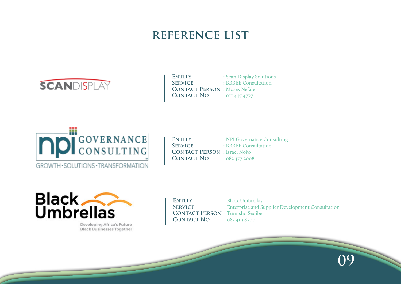#### **reference list**



**ENTITY** : Scan Display Solutions **SERVICE** : BBBEE Consultation **CONTACT PERSON** : Moses Nefale **CONTACT NO** : 011 447 4777



**ENTITY** : NPI Governance Consulting **Service** : BBBEE Consultation **Contact Person** : Israel Noko **Contact No** : 082 377 2008



Developing Africa's Future **Black Businesses Together**  **ENTITY** : Black Umbrellas SERVICE : Enterprise and Supplier Development Consultation **CONTACT PERSON** : Tumisho Sedibe<br>
CONTACT NO : 083 410 8700 **Contact No** : 083 419 8700